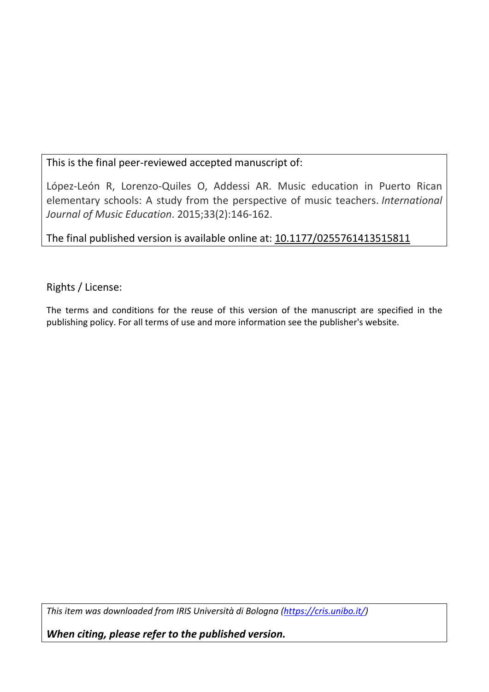# This is the final peer-reviewed accepted manuscript of:

López-León R, Lorenzo-Quiles O, Addessi AR. Music education in Puerto Rican elementary schools: A study from the perspective of music teachers. *International Journal of Music Education*. 2015;33(2):146-162.

The final published version is available online at: 10.1177/0255761413515811

Rights / License:

The terms and conditions for the reuse of this version of the manuscript are specified in the publishing policy. For all terms of use and more information see the publisher's website.

*This item was downloaded from IRIS Università di Bologna (https://cris.unibo.it/)*

*When citing, please refer to the published version.*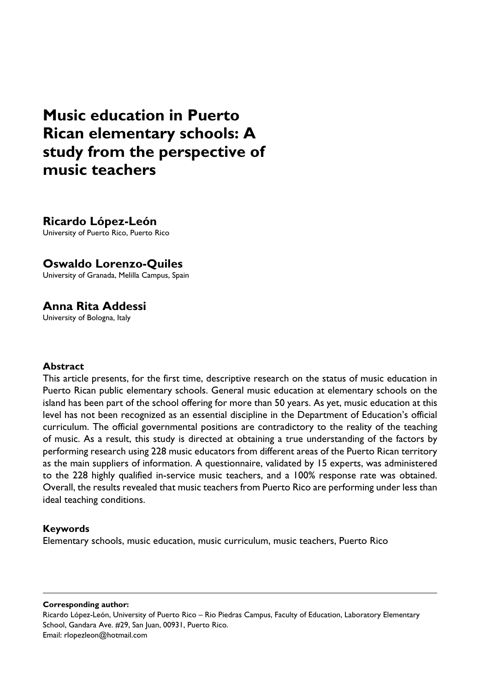# **Music education in Puerto Rican elementary schools: A study from the perspective of music teachers**

**Ricardo López-León** University of Puerto Rico, Puerto Rico

### **Oswaldo Lorenzo-Quiles**

University of Granada, Melilla Campus, Spain

# **Anna Rita Addessi**

University of Bologna, Italy

#### **Abstract**

This article presents, for the first time, descriptive research on the status of music education in Puerto Rican public elementary schools. General music education at elementary schools on the island has been part of the school offering for more than 50 years. As yet, music education at this level has not been recognized as an essential discipline in the Department of Education's official curriculum. The official governmental positions are contradictory to the reality of the teaching of music. As a result, this study is directed at obtaining a true understanding of the factors by performing research using 228 music educators from different areas of the Puerto Rican territory as the main suppliers of information. A questionnaire, validated by 15 experts, was administered to the 228 highly qualified in-service music teachers, and a 100% response rate was obtained. Overall, the results revealed that music teachers from Puerto Rico are performing under less than ideal teaching conditions.

#### **Keywords**

Elementary schools, music education, music curriculum, music teachers, Puerto Rico

**Corresponding author:**

Ricardo López-León, University of Puerto Rico – Rio Piedras Campus, Faculty of Education, Laboratory Elementary School, Gandara Ave. #29, San Juan, 00931, Puerto Rico. Email: rlopezleon@hotmail.com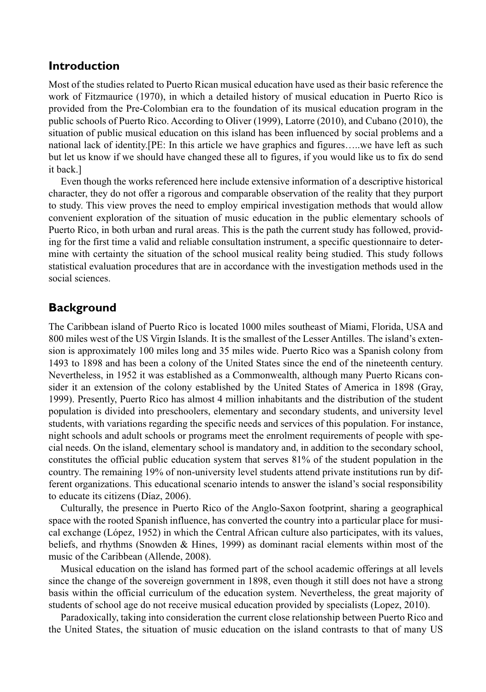## **Introduction**

Most of the studies related to Puerto Rican musical education have used as their basic reference the work of Fitzmaurice (1970), in which a detailed history of musical education in Puerto Rico is provided from the Pre-Colombian era to the foundation of its musical education program in the public schools of Puerto Rico. According to Oliver (1999), Latorre (2010), and Cubano (2010), the situation of public musical education on this island has been influenced by social problems and a national lack of identity.[PE: In this article we have graphics and figures…..we have left as such but let us know if we should have changed these all to figures, if you would like us to fix do send it back.]

Even though the works referenced here include extensive information of a descriptive historical character, they do not offer a rigorous and comparable observation of the reality that they purport to study. This view proves the need to employ empirical investigation methods that would allow convenient exploration of the situation of music education in the public elementary schools of Puerto Rico, in both urban and rural areas. This is the path the current study has followed, providing for the first time a valid and reliable consultation instrument, a specific questionnaire to determine with certainty the situation of the school musical reality being studied. This study follows statistical evaluation procedures that are in accordance with the investigation methods used in the social sciences.

## **Background**

The Caribbean island of Puerto Rico is located 1000 miles southeast of Miami, Florida, USA and 800 miles west of the US Virgin Islands. It is the smallest of the Lesser Antilles. The island's extension is approximately 100 miles long and 35 miles wide. Puerto Rico was a Spanish colony from 1493 to 1898 and has been a colony of the United States since the end of the nineteenth century. Nevertheless, in 1952 it was established as a Commonwealth, although many Puerto Ricans consider it an extension of the colony established by the United States of America in 1898 (Gray, 1999). Presently, Puerto Rico has almost 4 million inhabitants and the distribution of the student population is divided into preschoolers, elementary and secondary students, and university level students, with variations regarding the specific needs and services of this population. For instance, night schools and adult schools or programs meet the enrolment requirements of people with special needs. On the island, elementary school is mandatory and, in addition to the secondary school, constitutes the official public education system that serves 81% of the student population in the country. The remaining 19% of non-university level students attend private institutions run by different organizations. This educational scenario intends to answer the island's social responsibility to educate its citizens (Díaz, 2006).

Culturally, the presence in Puerto Rico of the Anglo-Saxon footprint, sharing a geographical space with the rooted Spanish influence, has converted the country into a particular place for musical exchange (López, 1952) in which the Central African culture also participates, with its values, beliefs, and rhythms (Snowden & Hines, 1999) as dominant racial elements within most of the music of the Caribbean (Allende, 2008).

Musical education on the island has formed part of the school academic offerings at all levels since the change of the sovereign government in 1898, even though it still does not have a strong basis within the official curriculum of the education system. Nevertheless, the great majority of students of school age do not receive musical education provided by specialists (Lopez, 2010).

Paradoxically, taking into consideration the current close relationship between Puerto Rico and the United States, the situation of music education on the island contrasts to that of many US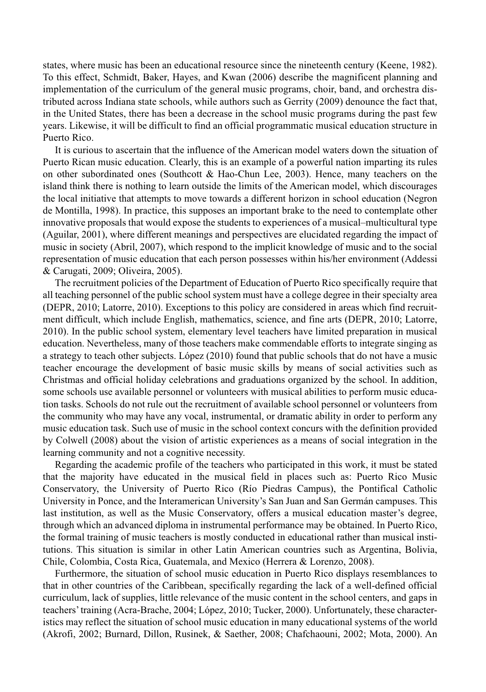states, where music has been an educational resource since the nineteenth century (Keene, 1982). To this effect, Schmidt, Baker, Hayes, and Kwan (2006) describe the magnificent planning and implementation of the curriculum of the general music programs, choir, band, and orchestra distributed across Indiana state schools, while authors such as Gerrity (2009) denounce the fact that, in the United States, there has been a decrease in the school music programs during the past few years. Likewise, it will be difficult to find an official programmatic musical education structure in Puerto Rico.

It is curious to ascertain that the influence of the American model waters down the situation of Puerto Rican music education. Clearly, this is an example of a powerful nation imparting its rules on other subordinated ones (Southcott & Hao-Chun Lee, 2003). Hence, many teachers on the island think there is nothing to learn outside the limits of the American model, which discourages the local initiative that attempts to move towards a different horizon in school education (Negron de Montilla, 1998). In practice, this supposes an important brake to the need to contemplate other innovative proposals that would expose the students to experiences of a musical–multicultural type (Aguilar, 2001), where different meanings and perspectives are elucidated regarding the impact of music in society (Abril, 2007), which respond to the implicit knowledge of music and to the social representation of music education that each person possesses within his/her environment (Addessi & Carugati, 2009; Oliveira, 2005).

The recruitment policies of the Department of Education of Puerto Rico specifically require that all teaching personnel of the public school system must have a college degree in their specialty area (DEPR, 2010; Latorre, 2010). Exceptions to this policy are considered in areas which find recruitment difficult, which include English, mathematics, science, and fine arts (DEPR, 2010; Latorre, 2010). In the public school system, elementary level teachers have limited preparation in musical education. Nevertheless, many of those teachers make commendable efforts to integrate singing as a strategy to teach other subjects. López (2010) found that public schools that do not have a music teacher encourage the development of basic music skills by means of social activities such as Christmas and official holiday celebrations and graduations organized by the school. In addition, some schools use available personnel or volunteers with musical abilities to perform music education tasks. Schools do not rule out the recruitment of available school personnel or volunteers from the community who may have any vocal, instrumental, or dramatic ability in order to perform any music education task. Such use of music in the school context concurs with the definition provided by Colwell (2008) about the vision of artistic experiences as a means of social integration in the learning community and not a cognitive necessity.

Regarding the academic profile of the teachers who participated in this work, it must be stated that the majority have educated in the musical field in places such as: Puerto Rico Music Conservatory, the University of Puerto Rico (Río Piedras Campus), the Pontifical Catholic University in Ponce, and the Interamerican University's San Juan and San Germán campuses. This last institution, as well as the Music Conservatory, offers a musical education master's degree, through which an advanced diploma in instrumental performance may be obtained. In Puerto Rico, the formal training of music teachers is mostly conducted in educational rather than musical institutions. This situation is similar in other Latin American countries such as Argentina, Bolivia, Chile, Colombia, Costa Rica, Guatemala, and Mexico (Herrera & Lorenzo, 2008).

Furthermore, the situation of school music education in Puerto Rico displays resemblances to that in other countries of the Caribbean, specifically regarding the lack of a well-defined official curriculum, lack of supplies, little relevance of the music content in the school centers, and gaps in teachers' training (Acra-Brache, 2004; López, 2010; Tucker, 2000). Unfortunately, these characteristics may reflect the situation of school music education in many educational systems of the world (Akrofi, 2002; Burnard, Dillon, Rusinek, & Saether, 2008; Chafchaouni, 2002; Mota, 2000). An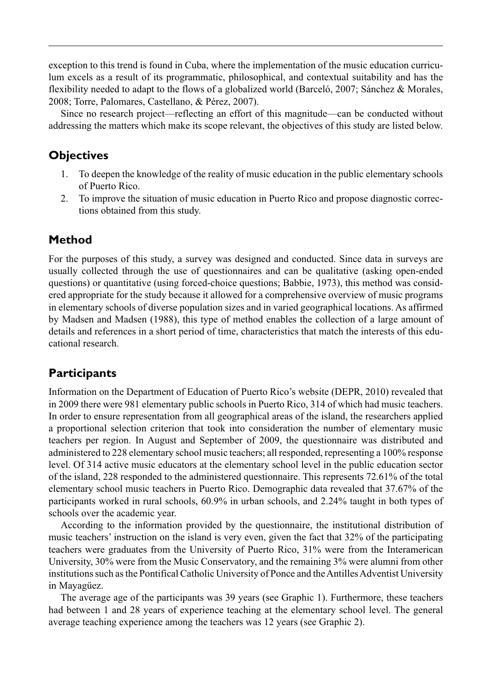exception to this trend is found in Cuba, where the implementation of the music education curriculum excels as a result of its programmatic, philosophical, and contextual suitability and has the flexibility needed to adapt to the flows of a globalized world (Barceló, 2007; Sánchez & Morales, 2008; Torre, Palomares, Castellano, & Pérez, 2007).

Since no research project—reflecting an effort of this magnitude—can be conducted without addressing the matters which make its scope relevant, the objectives of this study are listed below.

## **Objectives**

- 1. To deepen the knowledge of the reality of music education in the public elementary schools of Puerto Rico.
- 2. To improve the situation of music education in Puerto Rico and propose diagnostic corrections obtained from this study.

# **Method**

For the purposes of this study, a survey was designed and conducted. Since data in surveys are usually collected through the use of questionnaires and can be qualitative (asking open-ended questions) or quantitative (using forced-choice questions; Babbie, 1973), this method was considered appropriate for the study because it allowed for a comprehensive overview of music programs in elementary schools of diverse population sizes and in varied geographical locations. As affirmed by Madsen and Madsen (1988), this type of method enables the collection of a large amount of details and references in a short period of time, characteristics that match the interests of this educational research.

# **Participants**

Information on the Department of Education of Puerto Rico's website (DEPR, 2010) revealed that in 2009 there were 981 elementary public schools in Puerto Rico, 314 of which had music teachers. In order to ensure representation from all geographical areas of the island, the researchers applied a proportional selection criterion that took into consideration the number of elementary music teachers per region. In August and September of 2009, the questionnaire was distributed and administered to 228 elementary school music teachers; all responded, representing a 100% response level. Of 314 active music educators at the elementary school level in the public education sector of the island, 228 responded to the administered questionnaire. This represents 72.61% of the total elementary school music teachers in Puerto Rico. Demographic data revealed that 37.67% of the participants worked in rural schools, 60.9% in urban schools, and 2.24% taught in both types of schools over the academic year.

According to the information provided by the questionnaire, the institutional distribution of music teachers' instruction on the island is very even, given the fact that 32% of the participating teachers were graduates from the University of Puerto Rico, 31% were from the Interamerican University, 30% were from the Music Conservatory, and the remaining 3% were alumni from other institutions such as the Pontifical Catholic University of Ponce and the Antilles Adventist University in Mayagüez.

The average age of the participants was 39 years (see Graphic 1). Furthermore, these teachers had between 1 and 28 years of experience teaching at the elementary school level. The general average teaching experience among the teachers was 12 years (see Graphic 2).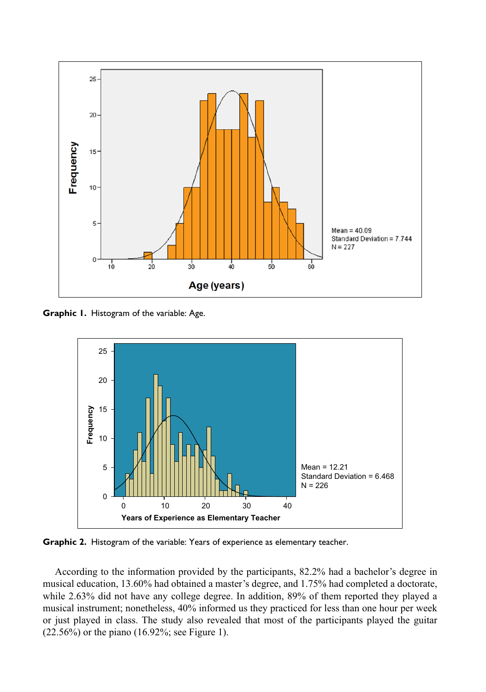

**Graphic 1.** Histogram of the variable: Age.



**Graphic 2.** Histogram of the variable: Years of experience as elementary teacher.

According to the information provided by the participants, 82.2% had a bachelor's degree in musical education, 13.60% had obtained a master's degree, and 1.75% had completed a doctorate, while 2.63% did not have any college degree. In addition, 89% of them reported they played a musical instrument; nonetheless, 40% informed us they practiced for less than one hour per week or just played in class. The study also revealed that most of the participants played the guitar (22.56%) or the piano (16.92%; see Figure 1).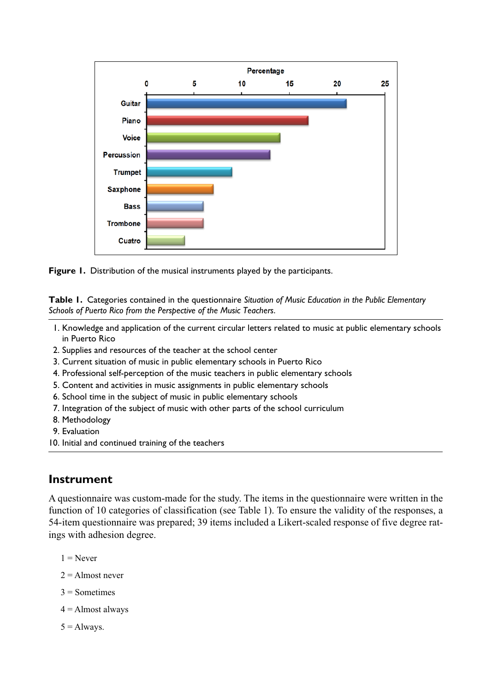



**Table 1.** Categories contained in the questionnaire *Situation of Music Education in the Public Elementary Schools of Puerto Rico from the Perspective of the Music Teachers*.

- 1. Knowledge and application of the current circular letters related to music at public elementary schools in Puerto Rico
- 2. Supplies and resources of the teacher at the school center
- 3. Current situation of music in public elementary schools in Puerto Rico
- 4. Professional self-perception of the music teachers in public elementary schools
- 5. Content and activities in music assignments in public elementary schools
- 6. School time in the subject of music in public elementary schools
- 7. Integration of the subject of music with other parts of the school curriculum
- 8. Methodology
- 9. Evaluation
- 10. Initial and continued training of the teachers

### **Instrument**

A questionnaire was custom-made for the study. The items in the questionnaire were written in the function of 10 categories of classification (see Table 1). To ensure the validity of the responses, a 54-item questionnaire was prepared; 39 items included a Likert-scaled response of five degree ratings with adhesion degree.

- $1 =$ Never
- $2 =$  Almost never
- $3$  = Sometimes
- $4 =$  Almost always
- $5 =$ Always.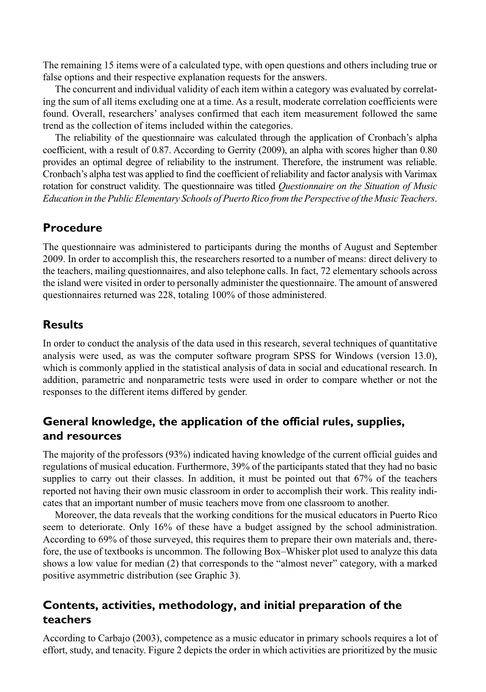The remaining 15 items were of a calculated type, with open questions and others including true or false options and their respective explanation requests for the answers.

The concurrent and individual validity of each item within a category was evaluated by correlating the sum of all items excluding one at a time. As a result, moderate correlation coefficients were found. Overall, researchers' analyses confirmed that each item measurement followed the same trend as the collection of items included within the categories.

The reliability of the questionnaire was calculated through the application of Cronbach's alpha coefficient, with a result of 0.87. According to Gerrity (2009), an alpha with scores higher than 0.80 provides an optimal degree of reliability to the instrument. Therefore, the instrument was reliable. Cronbach's alpha test was applied to find the coefficient of reliability and factor analysis with Varimax rotation for construct validity. The questionnaire was titled *Questionnaire on the Situation of Music Education in the Public Elementary Schools of Puerto Rico from the Perspective of the Music Teachers*.

# **Procedure**

The questionnaire was administered to participants during the months of August and September 2009. In order to accomplish this, the researchers resorted to a number of means: direct delivery to the teachers, mailing questionnaires, and also telephone calls. In fact, 72 elementary schools across the island were visited in order to personally administer the questionnaire. The amount of answered questionnaires returned was 228, totaling 100% of those administered.

# **Results**

In order to conduct the analysis of the data used in this research, several techniques of quantitative analysis were used, as was the computer software program SPSS for Windows (version 13.0), which is commonly applied in the statistical analysis of data in social and educational research. In addition, parametric and nonparametric tests were used in order to compare whether or not the responses to the different items differed by gender.

# **General knowledge, the application of the official rules, supplies, and resources**

The majority of the professors (93%) indicated having knowledge of the current official guides and regulations of musical education. Furthermore, 39% of the participants stated that they had no basic supplies to carry out their classes. In addition, it must be pointed out that 67% of the teachers reported not having their own music classroom in order to accomplish their work. This reality indicates that an important number of music teachers move from one classroom to another.

Moreover, the data reveals that the working conditions for the musical educators in Puerto Rico seem to deteriorate. Only 16% of these have a budget assigned by the school administration. According to 69% of those surveyed, this requires them to prepare their own materials and, therefore, the use of textbooks is uncommon. The following Box–Whisker plot used to analyze this data shows a low value for median (2) that corresponds to the "almost never" category, with a marked positive asymmetric distribution (see Graphic 3).

# **Contents, activities, methodology, and initial preparation of the teachers**

According to Carbajo (2003), competence as a music educator in primary schools requires a lot of effort, study, and tenacity. Figure 2 depicts the order in which activities are prioritized by the music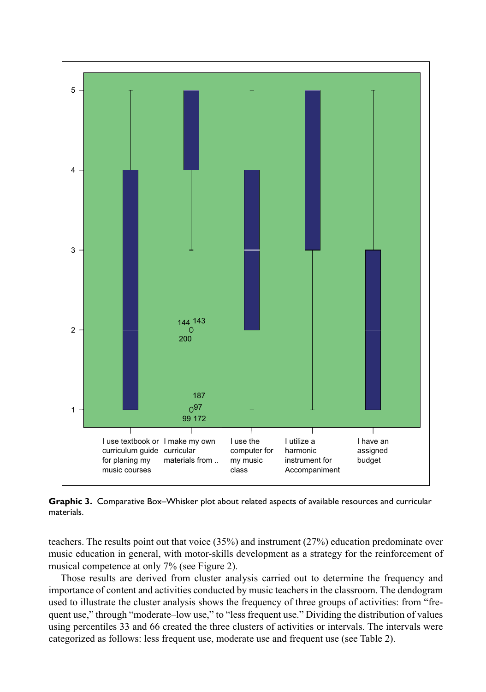

**Graphic 3.** Comparative Box–Whisker plot about related aspects of available resources and curricular materials.

teachers. The results point out that voice (35%) and instrument (27%) education predominate over music education in general, with motor-skills development as a strategy for the reinforcement of musical competence at only 7% (see Figure 2).

Those results are derived from cluster analysis carried out to determine the frequency and importance of content and activities conducted by music teachers in the classroom. The dendogram used to illustrate the cluster analysis shows the frequency of three groups of activities: from "frequent use," through "moderate–low use," to "less frequent use." Dividing the distribution of values using percentiles 33 and 66 created the three clusters of activities or intervals. The intervals were categorized as follows: less frequent use, moderate use and frequent use (see Table 2).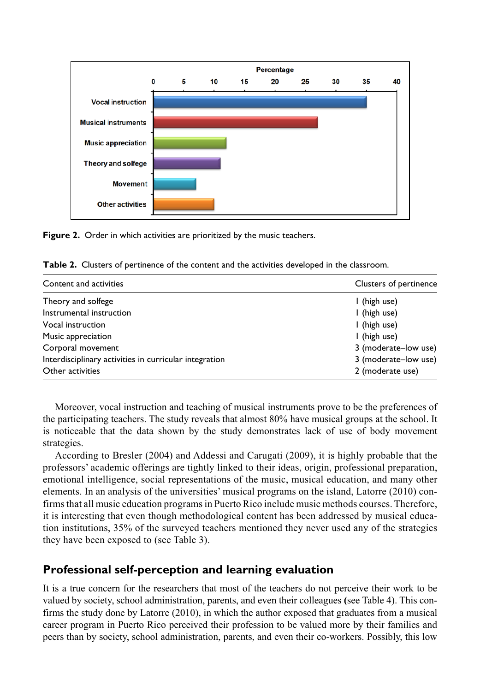

**Figure 2.** Order in which activities are prioritized by the music teachers.

| Content and activities                                 | Clusters of pertinence |
|--------------------------------------------------------|------------------------|
| Theory and solfege                                     | I (high use)           |
| Instrumental instruction                               | I (high use)           |
| Vocal instruction                                      | I (high use)           |
| Music appreciation                                     | I (high use)           |
| Corporal movement                                      | 3 (moderate-low use)   |
| Interdisciplinary activities in curricular integration | 3 (moderate-low use)   |
| Other activities                                       | 2 (moderate use)       |

**Table 2.** Clusters of pertinence of the content and the activities developed in the classroom.

Moreover, vocal instruction and teaching of musical instruments prove to be the preferences of the participating teachers. The study reveals that almost 80% have musical groups at the school. It is noticeable that the data shown by the study demonstrates lack of use of body movement strategies.

According to Bresler (2004) and Addessi and Carugati (2009), it is highly probable that the professors' academic offerings are tightly linked to their ideas, origin, professional preparation, emotional intelligence, social representations of the music, musical education, and many other elements. In an analysis of the universities' musical programs on the island, Latorre (2010) confirms that all music education programs in Puerto Rico include music methods courses. Therefore, it is interesting that even though methodological content has been addressed by musical education institutions, 35% of the surveyed teachers mentioned they never used any of the strategies they have been exposed to (see Table 3).

# **Professional self-perception and learning evaluation**

It is a true concern for the researchers that most of the teachers do not perceive their work to be valued by society, school administration, parents, and even their colleagues **(**see Table 4). This confirms the study done by Latorre (2010), in which the author exposed that graduates from a musical career program in Puerto Rico perceived their profession to be valued more by their families and peers than by society, school administration, parents, and even their co-workers. Possibly, this low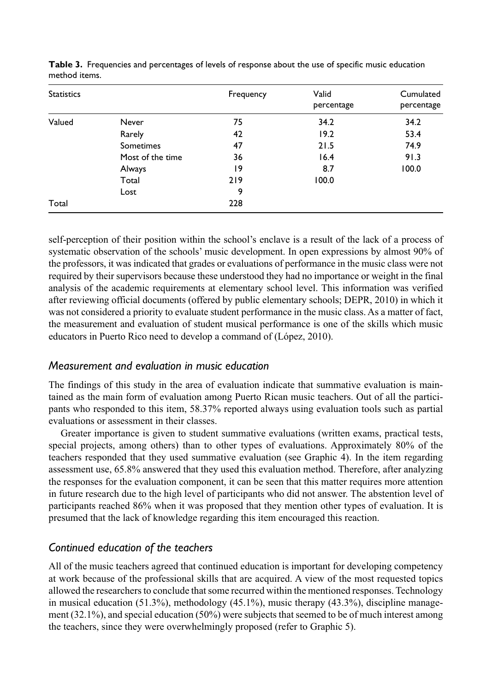| <b>Statistics</b> |                  | Frequency | Valid<br>percentage | Cumulated<br>percentage |
|-------------------|------------------|-----------|---------------------|-------------------------|
| Valued            | Never            | 75        | 34.2                | 34.2                    |
|                   | Rarely           | 42        | 19.2                | 53.4                    |
|                   | <b>Sometimes</b> | 47        | 21.5                | 74.9                    |
|                   | Most of the time | 36        | 16.4                | 91.3                    |
|                   | Always           | 19        | 8.7                 | 100.0                   |
|                   | Total            | 219       | 100.0               |                         |
|                   | Lost             | 9         |                     |                         |
| Total             |                  | 228       |                     |                         |

**Table 3.** Frequencies and percentages of levels of response about the use of specific music education method items.

self-perception of their position within the school's enclave is a result of the lack of a process of systematic observation of the schools' music development. In open expressions by almost 90% of the professors, it was indicated that grades or evaluations of performance in the music class were not required by their supervisors because these understood they had no importance or weight in the final analysis of the academic requirements at elementary school level. This information was verified after reviewing official documents (offered by public elementary schools; DEPR, 2010) in which it was not considered a priority to evaluate student performance in the music class. As a matter of fact, the measurement and evaluation of student musical performance is one of the skills which music educators in Puerto Rico need to develop a command of (López, 2010).

#### *Measurement and evaluation in music education*

The findings of this study in the area of evaluation indicate that summative evaluation is maintained as the main form of evaluation among Puerto Rican music teachers. Out of all the participants who responded to this item, 58.37% reported always using evaluation tools such as partial evaluations or assessment in their classes.

Greater importance is given to student summative evaluations (written exams, practical tests, special projects, among others) than to other types of evaluations. Approximately 80% of the teachers responded that they used summative evaluation (see Graphic 4). In the item regarding assessment use, 65.8% answered that they used this evaluation method. Therefore, after analyzing the responses for the evaluation component, it can be seen that this matter requires more attention in future research due to the high level of participants who did not answer. The abstention level of participants reached 86% when it was proposed that they mention other types of evaluation. It is presumed that the lack of knowledge regarding this item encouraged this reaction.

### *Continued education of the teachers*

All of the music teachers agreed that continued education is important for developing competency at work because of the professional skills that are acquired. A view of the most requested topics allowed the researchers to conclude that some recurred within the mentioned responses. Technology in musical education  $(51.3\%)$ , methodology  $(45.1\%)$ , music therapy  $(43.3\%)$ , discipline management (32.1%), and special education (50%) were subjects that seemed to be of much interest among the teachers, since they were overwhelmingly proposed (refer to Graphic 5).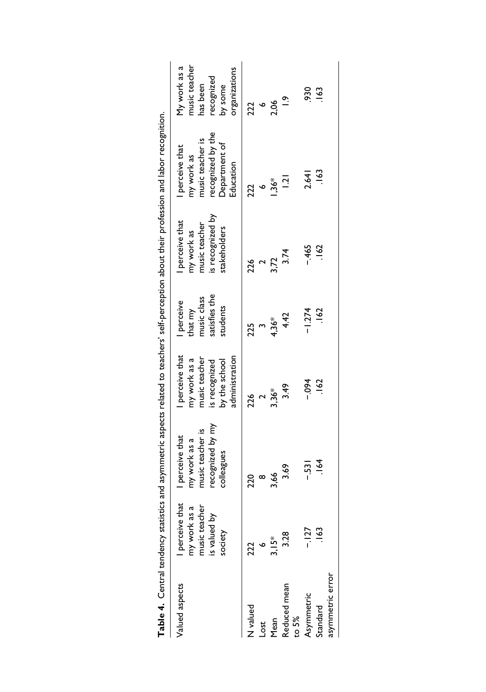| Table 4. Central tendency statistics and asymmetric aspects related to teachers' self-perception about their profession and labor recognition. |                 |                  |                 |               |                  |                   |               |
|------------------------------------------------------------------------------------------------------------------------------------------------|-----------------|------------------|-----------------|---------------|------------------|-------------------|---------------|
| Valued aspects                                                                                                                                 | perceive that   | I perceive that  | I perceive that | perceive      | perceive that    | perceive that     | My work as a  |
|                                                                                                                                                | my work as a    | my work as a     | my work as a    | that my       | my work as       | my work as        | music teacher |
|                                                                                                                                                | music teacher   | music teacher is | music teacher   | music class   | music teacher    | music teacher is  | has been      |
|                                                                                                                                                | is valued by    | recognized by my | is recognized   | satisfies the | is recognized by | recognized by the | recognized    |
|                                                                                                                                                | society         | colleagues       | by the school   | students      | stakeholders     | Department of     | by some       |
|                                                                                                                                                |                 |                  | administration  |               |                  | Education         | organizations |
| N valued                                                                                                                                       | 222             | 220              | 226             | 225           | 226              | 222               | 222           |
| Lost                                                                                                                                           |                 | $\infty$         | $\sim$          |               | $\mathbf{z}$     | $\bullet$         | $\bullet$     |
| Mean                                                                                                                                           | $3.15*$         | 3,66             | $3.36*$         | $4,36*$       | 3,72             | $136*$            | 2,06          |
| Reduced mean<br>to 5%                                                                                                                          | 3.28            | 3.69             | 3.49            | 4.42          | 3.74             | $\overline{5}$    | $\tilde{e}$   |
| Asymmetric                                                                                                                                     | $-127$          | $-531$           | $+60 -$         | $-1.274$      | $-465$           | 2.641             | 930           |
| Standard                                                                                                                                       | $\frac{163}{2}$ | $-164$           | 162             | 162           | 162              | 163               | 163           |
| asymmetric error                                                                                                                               |                 |                  |                 |               |                  |                   |               |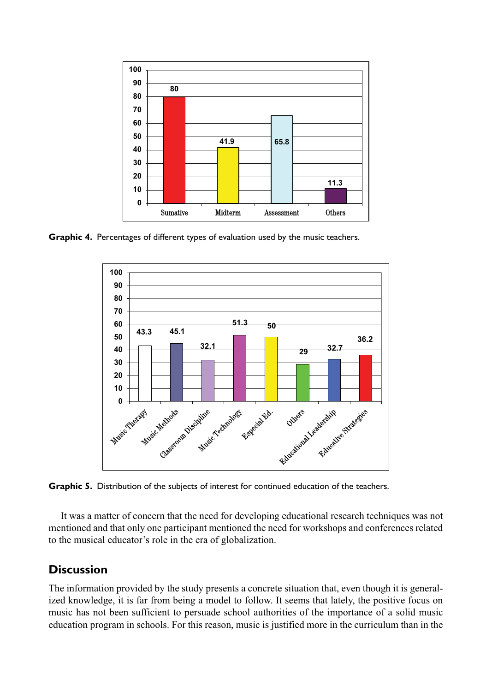

**Graphic 4.** Percentages of different types of evaluation used by the music teachers.



**Graphic 5.** Distribution of the subjects of interest for continued education of the teachers.

It was a matter of concern that the need for developing educational research techniques was not mentioned and that only one participant mentioned the need for workshops and conferences related to the musical educator's role in the era of globalization.

## **Discussion**

The information provided by the study presents a concrete situation that, even though it is generalized knowledge, it is far from being a model to follow. It seems that lately, the positive focus on music has not been sufficient to persuade school authorities of the importance of a solid music education program in schools. For this reason, music is justified more in the curriculum than in the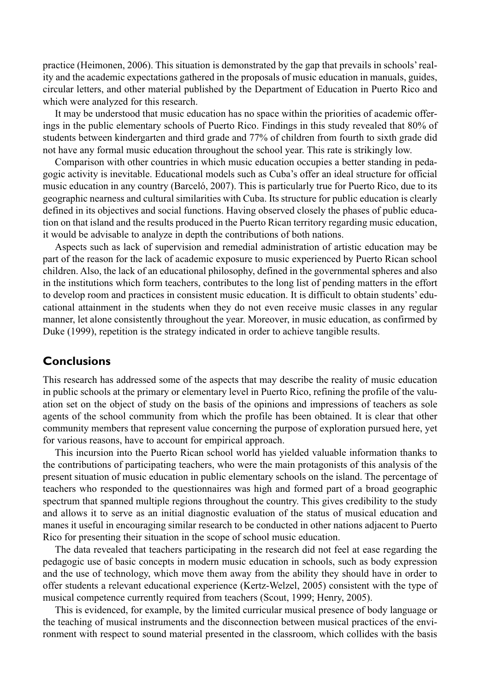practice (Heimonen, 2006). This situation is demonstrated by the gap that prevails in schools' reality and the academic expectations gathered in the proposals of music education in manuals, guides, circular letters, and other material published by the Department of Education in Puerto Rico and which were analyzed for this research.

It may be understood that music education has no space within the priorities of academic offerings in the public elementary schools of Puerto Rico. Findings in this study revealed that 80% of students between kindergarten and third grade and 77% of children from fourth to sixth grade did not have any formal music education throughout the school year. This rate is strikingly low.

Comparison with other countries in which music education occupies a better standing in pedagogic activity is inevitable. Educational models such as Cuba's offer an ideal structure for official music education in any country (Barceló, 2007). This is particularly true for Puerto Rico, due to its geographic nearness and cultural similarities with Cuba. Its structure for public education is clearly defined in its objectives and social functions. Having observed closely the phases of public education on that island and the results produced in the Puerto Rican territory regarding music education, it would be advisable to analyze in depth the contributions of both nations.

Aspects such as lack of supervision and remedial administration of artistic education may be part of the reason for the lack of academic exposure to music experienced by Puerto Rican school children. Also, the lack of an educational philosophy, defined in the governmental spheres and also in the institutions which form teachers, contributes to the long list of pending matters in the effort to develop room and practices in consistent music education. It is difficult to obtain students' educational attainment in the students when they do not even receive music classes in any regular manner, let alone consistently throughout the year. Moreover, in music education, as confirmed by Duke (1999), repetition is the strategy indicated in order to achieve tangible results.

### **Conclusions**

This research has addressed some of the aspects that may describe the reality of music education in public schools at the primary or elementary level in Puerto Rico, refining the profile of the valuation set on the object of study on the basis of the opinions and impressions of teachers as sole agents of the school community from which the profile has been obtained. It is clear that other community members that represent value concerning the purpose of exploration pursued here, yet for various reasons, have to account for empirical approach.

This incursion into the Puerto Rican school world has yielded valuable information thanks to the contributions of participating teachers, who were the main protagonists of this analysis of the present situation of music education in public elementary schools on the island. The percentage of teachers who responded to the questionnaires was high and formed part of a broad geographic spectrum that spanned multiple regions throughout the country. This gives credibility to the study and allows it to serve as an initial diagnostic evaluation of the status of musical education and manes it useful in encouraging similar research to be conducted in other nations adjacent to Puerto Rico for presenting their situation in the scope of school music education.

The data revealed that teachers participating in the research did not feel at ease regarding the pedagogic use of basic concepts in modern music education in schools, such as body expression and the use of technology, which move them away from the ability they should have in order to offer students a relevant educational experience (Kertz-Welzel, 2005) consistent with the type of musical competence currently required from teachers (Scout, 1999; Henry, 2005).

This is evidenced, for example, by the limited curricular musical presence of body language or the teaching of musical instruments and the disconnection between musical practices of the environment with respect to sound material presented in the classroom, which collides with the basis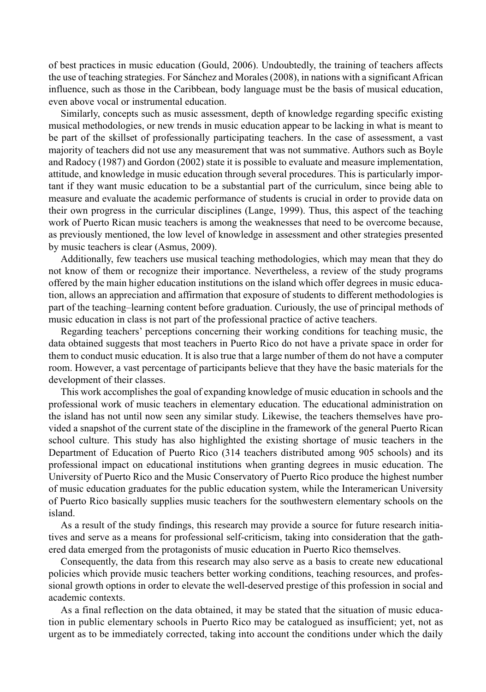of best practices in music education (Gould, 2006). Undoubtedly, the training of teachers affects the use of teaching strategies. For Sánchez and Morales (2008), in nations with a significant African influence, such as those in the Caribbean, body language must be the basis of musical education, even above vocal or instrumental education.

Similarly, concepts such as music assessment, depth of knowledge regarding specific existing musical methodologies, or new trends in music education appear to be lacking in what is meant to be part of the skillset of professionally participating teachers. In the case of assessment, a vast majority of teachers did not use any measurement that was not summative. Authors such as Boyle and Radocy (1987) and Gordon (2002) state it is possible to evaluate and measure implementation, attitude, and knowledge in music education through several procedures. This is particularly important if they want music education to be a substantial part of the curriculum, since being able to measure and evaluate the academic performance of students is crucial in order to provide data on their own progress in the curricular disciplines (Lange, 1999). Thus, this aspect of the teaching work of Puerto Rican music teachers is among the weaknesses that need to be overcome because, as previously mentioned, the low level of knowledge in assessment and other strategies presented by music teachers is clear (Asmus, 2009).

Additionally, few teachers use musical teaching methodologies, which may mean that they do not know of them or recognize their importance. Nevertheless, a review of the study programs offered by the main higher education institutions on the island which offer degrees in music education, allows an appreciation and affirmation that exposure of students to different methodologies is part of the teaching–learning content before graduation. Curiously, the use of principal methods of music education in class is not part of the professional practice of active teachers.

Regarding teachers' perceptions concerning their working conditions for teaching music, the data obtained suggests that most teachers in Puerto Rico do not have a private space in order for them to conduct music education. It is also true that a large number of them do not have a computer room. However, a vast percentage of participants believe that they have the basic materials for the development of their classes.

This work accomplishes the goal of expanding knowledge of music education in schools and the professional work of music teachers in elementary education. The educational administration on the island has not until now seen any similar study. Likewise, the teachers themselves have provided a snapshot of the current state of the discipline in the framework of the general Puerto Rican school culture. This study has also highlighted the existing shortage of music teachers in the Department of Education of Puerto Rico (314 teachers distributed among 905 schools) and its professional impact on educational institutions when granting degrees in music education. The University of Puerto Rico and the Music Conservatory of Puerto Rico produce the highest number of music education graduates for the public education system, while the Interamerican University of Puerto Rico basically supplies music teachers for the southwestern elementary schools on the island.

As a result of the study findings, this research may provide a source for future research initiatives and serve as a means for professional self-criticism, taking into consideration that the gathered data emerged from the protagonists of music education in Puerto Rico themselves.

Consequently, the data from this research may also serve as a basis to create new educational policies which provide music teachers better working conditions, teaching resources, and professional growth options in order to elevate the well-deserved prestige of this profession in social and academic contexts.

As a final reflection on the data obtained, it may be stated that the situation of music education in public elementary schools in Puerto Rico may be catalogued as insufficient; yet, not as urgent as to be immediately corrected, taking into account the conditions under which the daily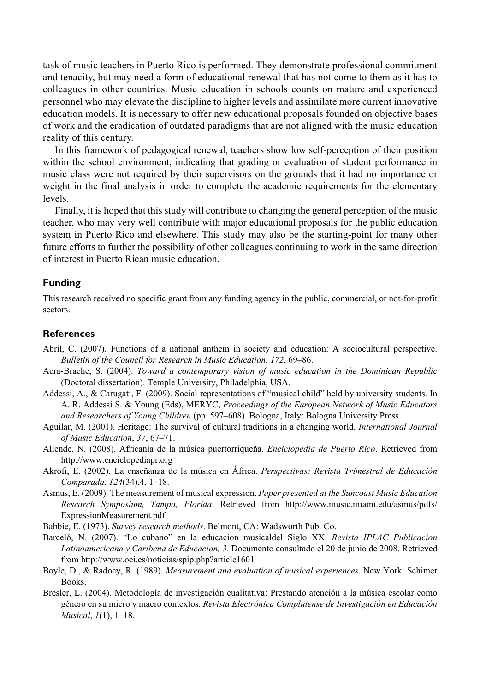task of music teachers in Puerto Rico is performed. They demonstrate professional commitment and tenacity, but may need a form of educational renewal that has not come to them as it has to colleagues in other countries. Music education in schools counts on mature and experienced personnel who may elevate the discipline to higher levels and assimilate more current innovative education models. It is necessary to offer new educational proposals founded on objective bases of work and the eradication of outdated paradigms that are not aligned with the music education reality of this century.

In this framework of pedagogical renewal, teachers show low self-perception of their position within the school environment, indicating that grading or evaluation of student performance in music class were not required by their supervisors on the grounds that it had no importance or weight in the final analysis in order to complete the academic requirements for the elementary levels.

Finally, it is hoped that this study will contribute to changing the general perception of the music teacher, who may very well contribute with major educational proposals for the public education system in Puerto Rico and elsewhere. This study may also be the starting-point for many other future efforts to further the possibility of other colleagues continuing to work in the same direction of interest in Puerto Rican music education.

#### **Funding**

This research received no specific grant from any funding agency in the public, commercial, or not-for-profit sectors.

#### **References**

- Abril, C. (2007). Functions of a national anthem in society and education: A sociocultural perspective. *Bulletin of the Council for Research in Music Education*, *172*, 69–86.
- Acra-Brache, S. (2004). *Toward a contemporary vision of music education in the Dominican Republic* (Doctoral dissertation). Temple University, Philadelphia, USA.
- Addessi, A., & Carugati, F. (2009). Social representations of "musical child" held by university students. In A. R. Addessi S. & Young (Eds), MERYC, *Proceedings of the European Network of Music Educators and Researchers of Young Children* (pp. 597–608). Bologna, Italy: Bologna University Press.
- Aguilar, M. (2001). Heritage: The survival of cultural traditions in a changing world. *International Journal of Music Education*, *37*, 67–71.
- Allende, N. (2008). Africanía de la música puertorriqueña. *Enciclopedia de Puerto Rico*. Retrieved from http://www.enciclopediapr.org
- Akrofi, E. (2002). La enseñanza de la música en África. *Perspectivas: Revista Trimestral de Educación Comparada*, *124*(34),4, 1–18.
- Asmus, E. (2009). The measurement of musical expression. *Paper presented at the Suncoast Music Education Research Symposium, Tampa, Florida*. Retrieved from http://www.music.miami.edu/asmus/pdfs/ ExpressionMeasurement.pdf

Babbie, E. (1973). *Survey research methods*. Belmont, CA: Wadsworth Pub. Co.

- Barceló, N. (2007). "Lo cubano" en la educacion musicaldel Siglo XX. *Revista IPLAC Publicacion Latinoamericana y Caribena de Educacion, 3*. Documento consultado el 20 de junio de 2008. Retrieved from http://www.oei.es/noticias/spip.php?article1601
- Boyle, D., & Radocy, R. (1989). *Measurement and evaluation of musical experiences*. New York: Schimer Books.
- Bresler, L. (2004). Metodología de investigación cualitativa: Prestando atención a la música escolar como género en su micro y macro contextos. *Revista Electrónica Complutense de Investigación en Educación Musical*, *1*(1), 1–18.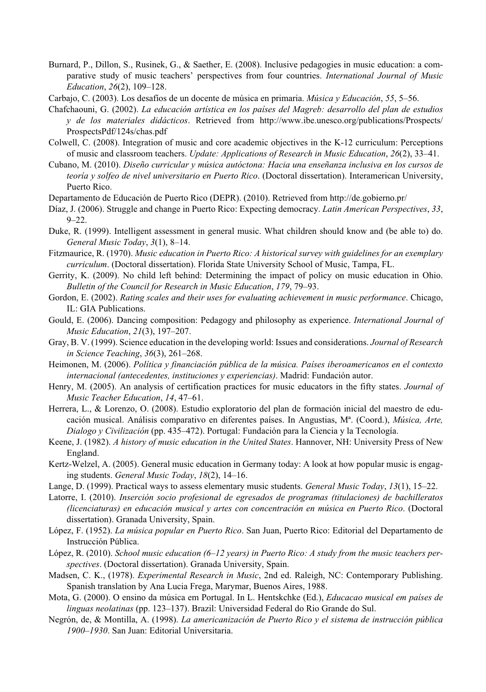- Burnard, P., Dillon, S., Rusinek, G., & Saether, E. (2008). Inclusive pedagogies in music education: a comparative study of music teachers' perspectives from four countries. *International Journal of Music Education*, *26*(2), 109–128.
- Carbajo, C. (2003). Los desafíos de un docente de música en primaria. *Música y Educación*, *55*, 5–56.
- Chafchaouni, G. (2002). *La educación artística en los países del Magreb: desarrollo del plan de estudios y de los materiales didácticos*. Retrieved from http://www.ibe.unesco.org/publications/Prospects/ ProspectsPdf/124s/chas.pdf
- Colwell, C. (2008). Integration of music and core academic objectives in the K-12 curriculum: Perceptions of music and classroom teachers. *Update: Applications of Research in Music Education*, *26*(2), 33–41.
- Cubano, M. (2010). *Diseño curricular y música autóctona: Hacia una enseñanza inclusiva en los cursos de teoría y solfeo de nivel universitario en Puerto Rico*. (Doctoral dissertation). Interamerican University, Puerto Rico.

Departamento de Educación de Puerto Rico (DEPR). (2010). Retrieved from http://de.gobierno.pr/

- Díaz, J. (2006). Struggle and change in Puerto Rico: Expecting democracy. *Latin American Perspectives*, *33*, 9–22.
- Duke, R. (1999). Intelligent assessment in general music. What children should know and (be able to) do. *General Music Today*, *3*(1), 8–14.
- Fitzmaurice, R. (1970). *Music education in Puerto Rico: A historical survey with guidelines for an exemplary curriculum*. (Doctoral dissertation). Florida State University School of Music, Tampa, FL.
- Gerrity, K. (2009). No child left behind: Determining the impact of policy on music education in Ohio. *Bulletin of the Council for Research in Music Education*, *179*, 79–93.
- Gordon, E. (2002). *Rating scales and their uses for evaluating achievement in music performance*. Chicago, IL: GIA Publications.
- Gould, E. (2006). Dancing composition: Pedagogy and philosophy as experience. *International Journal of Music Education*, *21*(3), 197–207.
- Gray, B. V. (1999). Science education in the developing world: Issues and considerations. *Journal of Research in Science Teaching*, *36*(3), 261–268.
- Heimonen, M. (2006). *Política y financiación pública de la música. Países iberoamericanos en el contexto internacional (antecedentes, instituciones y experiencias)*. Madrid: Fundación autor.
- Henry, M. (2005). An analysis of certification practices for music educators in the fifty states. *Journal of Music Teacher Education*, *14*, 47–61.
- Herrera, L., & Lorenzo, O. (2008). Estudio exploratorio del plan de formación inicial del maestro de educación musical. Análisis comparativo en diferentes países. In Angustias, Mª. (Coord.), *Música, Arte, Dialogo y Civilización* (pp. 435–472). Portugal: Fundación para la Ciencia y la Tecnología.
- Keene, J. (1982). *A history of music education in the United States*. Hannover, NH: University Press of New England.
- Kertz-Welzel, A. (2005). General music education in Germany today: A look at how popular music is engaging students. *General Music Today*, *18*(2), 14–16.
- Lange, D. (1999). Practical ways to assess elementary music students. *General Music Today*, *13*(1), 15–22.
- Latorre, I. (2010). *Inserción socio profesional de egresados de programas (titulaciones) de bachilleratos (licenciaturas) en educación musical y artes con concentración en música en Puerto Rico*. (Doctoral dissertation). Granada University, Spain.
- López, F. (1952). *La música popular en Puerto Rico*. San Juan, Puerto Rico: Editorial del Departamento de Instrucción Pública.
- López, R. (2010). *School music education (6–12 years) in Puerto Rico: A study from the music teachers perspectives*. (Doctoral dissertation). Granada University, Spain.
- Madsen, C. K., (1978). *Experimental Research in Music*, 2nd ed. Raleigh, NC: Contemporary Publishing. Spanish translation by Ana Lucia Frega, Marymar, Buenos Aires, 1988.
- Mota, G. (2000). O ensino da música em Portugal. In L. Hentskchke (Ed.), *Educacao musical em países de linguas neolatinas* (pp. 123–137). Brazil: Universidad Federal do Rio Grande do Sul.
- Negrón, de, & Montilla, A. (1998). *La americanización de Puerto Rico y el sistema de instrucción pública 1900–1930*. San Juan: Editorial Universitaria.